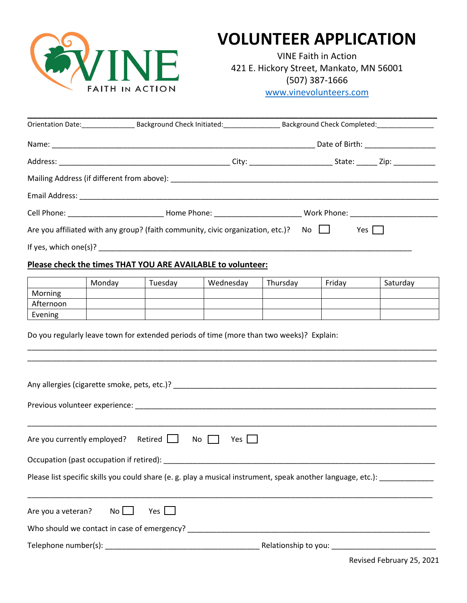

# **VOLUNTEER APPLICATION**

VINE Faith in Action 421 E. Hickory Street, Mankato, MN 56001 (507) 387-1666 [www.vinevolunteers.com](http://www.vinevolunteers.com/)

| Orientation Date: Background Check Initiated: Chinagonal Check Initiated:       | Background Check Completed:              |
|---------------------------------------------------------------------------------|------------------------------------------|
|                                                                                 | Date of Birth: ___________________       |
|                                                                                 |                                          |
|                                                                                 |                                          |
|                                                                                 |                                          |
|                                                                                 |                                          |
| Are you affiliated with any group? (faith community, civic organization, etc.)? | $\overline{\mathsf{No}}$ $\Box$<br>Yes I |
|                                                                                 |                                          |

### **Please check the times THAT YOU ARE AVAILABLE to volunteer:**

|           | Mondav | Tuesdav | Wednesday | Thursdav | Friday | Saturday |
|-----------|--------|---------|-----------|----------|--------|----------|
| Morning   |        |         |           |          |        |          |
| Afternoon |        |         |           |          |        |          |
| Evening   |        |         |           |          |        |          |

\_\_\_\_\_\_\_\_\_\_\_\_\_\_\_\_\_\_\_\_\_\_\_\_\_\_\_\_\_\_\_\_\_\_\_\_\_\_\_\_\_\_\_\_\_\_\_\_\_\_\_\_\_\_\_\_\_\_\_\_\_\_\_\_\_\_\_\_\_\_\_\_\_\_\_\_\_\_\_\_\_\_\_\_\_\_\_\_\_\_\_\_\_\_\_\_\_\_ \_\_\_\_\_\_\_\_\_\_\_\_\_\_\_\_\_\_\_\_\_\_\_\_\_\_\_\_\_\_\_\_\_\_\_\_\_\_\_\_\_\_\_\_\_\_\_\_\_\_\_\_\_\_\_\_\_\_\_\_\_\_\_\_\_\_\_\_\_\_\_\_\_\_\_\_\_\_\_\_\_\_\_\_\_\_\_\_\_\_\_\_\_\_\_\_\_\_

Do you regularly leave town for extended periods of time (more than two weeks)? Explain:

| Are you currently employed? Retired $\Box$ No $\Box$ | Yes $\Box$                                                                                                                 |  |  |  |
|------------------------------------------------------|----------------------------------------------------------------------------------------------------------------------------|--|--|--|
|                                                      |                                                                                                                            |  |  |  |
|                                                      | Please list specific skills you could share (e. g. play a musical instrument, speak another language, etc.): _____________ |  |  |  |
| Are you a veteran? No $\Box$<br>Yes                  |                                                                                                                            |  |  |  |
|                                                      |                                                                                                                            |  |  |  |
|                                                      |                                                                                                                            |  |  |  |